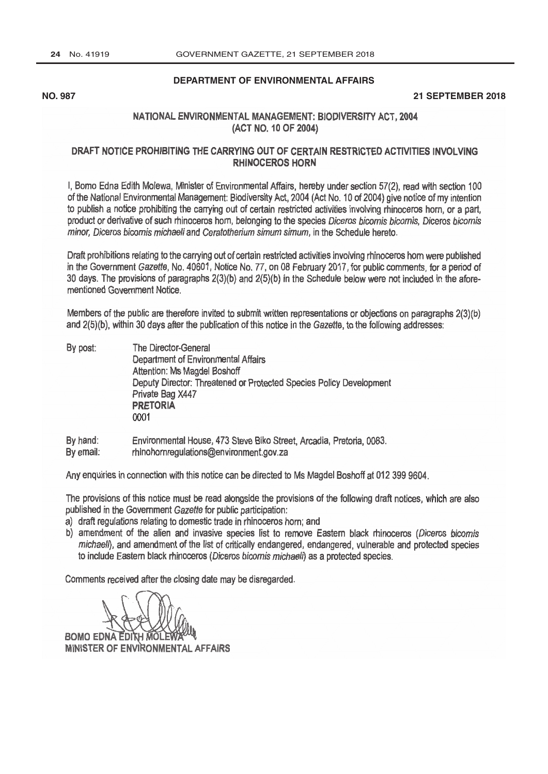**[DEPARTMENT OF ENVIRONMENTAL AFFAIRS](http://www.greengazette.co.za/departments/envonmental)**

#### **NO. 987 21 SEPTEMBER 2018**

## NATIONAL ENVIRONMENTAL MANAGEMENT: BIODIVERSITY ACT, 2004 (ACT NO. 10 OF 2004)

### DRAFT NOTICE PROHIBITING THE CARRYING OUT OF CERTAIN RESTRICTED ACTIVITIES INVOLVING RHINOCEROS HORN

I, Bomo Edna Edith Molewa, Minister of Environmental Affairs, hereby under section 57(2), read with section 100 of the National Environmental Management: Biodiversity Act, 2004 (Act No. 10 of 2004) give notice of my intention to publish a notice prohibiting the carrying out of certain restricted activities involving rhinoceros horn, or a part, product or derivative of such rhinoceros horn, belonging to the species Diceros bicomis bicomis, Diceros bicomis minor, Diceros bicomis michaeli and Ceratotherium simum simum, in the Schedule hereto.

Draft prohibitions relating to the carrying out of certain restricted activities involving rhinoceros horn were published in the [Government Gazette,](http://www.greengazette.co.za/government-gazette) No. 40601, Notice No. 77, on 08 February 2017, for public comments, for a period of 30 days. The provisions of paragraphs 2(3)(b) and 2(5)(b) in the Schedule below were not included in the aforementioned Government Notice.

Members of the public are therefore invited to submit written representations or objections on paragraphs 2(3)(b) and 2(5)(b), within 30 days after the publication of this notice in the Gazette, to the following addresses:

- By post: The Director -General [Department of Environmental Affairs](http://www.greengazette.co.za/departments/envonmental) Attention: Ms Magdel Boshoff Deputy Director: Threatened or Protected Species Policy Development Private Bag X447 **PRETORIA**<br>0001
- By hand: By email: Environmental House, 473 Steve Biko Street, Arcadia, Pretoria, 0083. rhinohornregulations @environment.gov.za

Any enquiries in connection with this notice can be directed to Ms Magdel Boshoff at 012 399 9604.

The provisions of this notice must be read alongside the provisions of the following draft notices, which are also published in the [Government Gazette](http://www.greengazette.co.za/government-gazette) for public participation:

- a) draft regulations relating to domestic trade in rhinoceros horn; and
- b) amendment of the alien and invasive species list to remove Eastern black rhinoceros (Diceros bicomis michaeli), and amendment of the list of critically endangered, endangered, vulnerable and protected species to include Eastern black rhinoceros (Diceros bicomis michaeli) as a protected species.

Comments received after the closing date may be disregarded.

**BOMO EDNA EDITH MO MINISTER OF ENVIRONMENTAL AFFAIRS**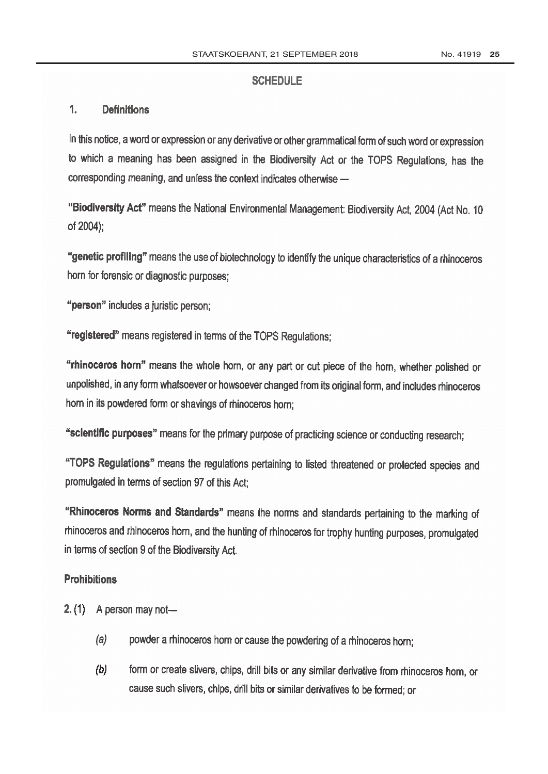### **SCHEDULE**

#### 1. **Definitions**

In this notice, a word or expression or any derivative or other grammatical form of such word or expression to which a meaning has been assigned in the Biodiversity Act or the TOPS Regulations, has the corresponding meaning, and unless the context indicates otherwise -

"Biodiversity Act" means the National Environmental Management: Biodiversity Act, 2004 (Act No. 10 of 2004);

"genetic profiling" means the use of biotechnology to identify the unique characteristics of a rhinoceros horn for forensic or diagnostic purposes;

"person" includes a juristic person;

"registered" means registered in terms of the TOPS Regulations;

"rhinoceros horn" means the whole horn, or any part or cut piece of the horn, whether polished or unpolished, in any form whatsoever or howsoever changed from its original form, and includes rhinoceros horn in its powdered form or shavings of rhinoceros horn;

"scientific purposes" means for the primary purpose of practicing science or conducting research;

"TOPS Regulations" means the regulations pertaining to listed threatened or protected species and promulgated in terms of section 97 of this Act;

"Rhinoceros Norms and Standards" means the norms and standards pertaining to the marking of rhinoceros and rhinoceros horn, and the hunting of rhinoceros for trophy hunting purposes, promulgated in terms of section 9 of the Biodiversity Act.

# **Prohibitions**

- 2.  $(1)$  A person may not-
	- $(a)$ powder a rhinoceros horn or cause the powdering of a rhinoceros horn;
	- $(b)$ form or create slivers, chips, drill bits or any similar derivative from rhinoceros horn, or cause such slivers, chips, drill bits or similar derivatives to be formed; or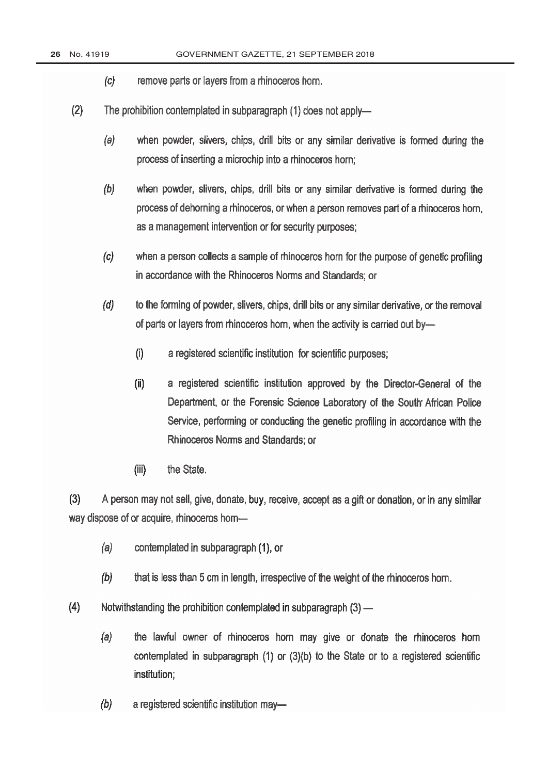- $(c)$ remove parts or layers from a rhinoceros hom.
- $(2)$ The prohibition contemplated in subparagraph (1) does not apply
	- when powder, slivers, chips, drill bits or any similar derivative is formed during the  $(a)$ process of inserting a microchip into a rhinoceros horn;
	- $(b)$ when powder, slivers, chips, drill bits or any similar derivative is formed during the process of dehorning a rhinoceros, or when a person removes part of a rhinoceros horn. as a management intervention or for security purposes:
	- $(c)$ when a person collects a sample of rhinoceros horn for the purpose of genetic profiling in accordance with the Rhinoceros Norms and Standards; or
	- $(d)$ to the forming of powder, slivers, chips, drill bits or any similar derivative, or the removal of parts or layers from rhinoceros horn, when the activity is carried out by-
		- $(i)$ a registered scientific institution for scientific purposes;
		- $(ii)$ a registered scientific institution approved by the Director-General of the Department, or the Forensic Science Laboratory of the South African Police Service, performing or conducting the genetic profiling in accordance with the Rhinoceros Norms and Standards: or
		- $(iii)$ the State.

 $(3)$ A person may not sell, give, donate, buy, receive, accept as a gift or donation, or in any similar way dispose of or acquire, rhinoceros horn-

- $(a)$ contemplated in subparagraph (1), or
- $(b)$ that is less than 5 cm in length, irrespective of the weight of the rhinoceros horn.
- $(4)$ Notwithstanding the prohibition contemplated in subparagraph (3) -
	- $(a)$ the lawful owner of rhinoceros horn may give or donate the rhinoceros horn contemplated in subparagraph (1) or (3)(b) to the State or to a registered scientific institution;
	- $(b)$ a registered scientific institution may-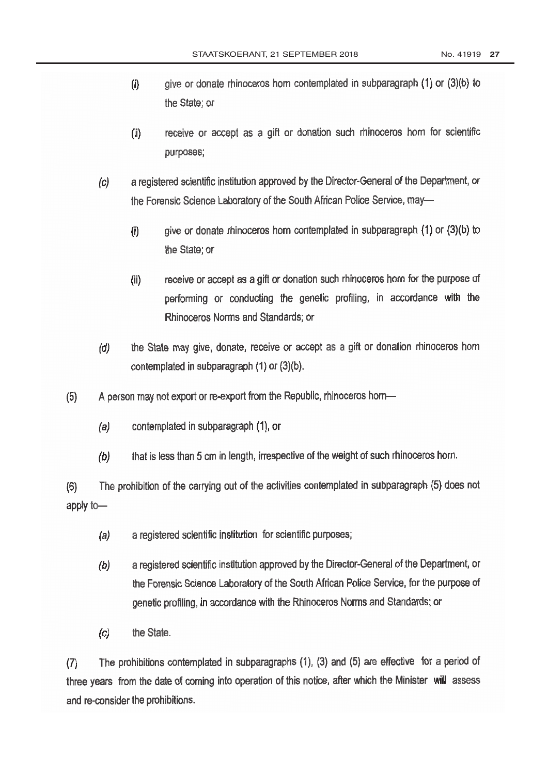- give or donate rhinoceros horn contemplated in subparagraph (1) or (3)(b) to  $(i)$ the State; or
- $(ii)$ receive or accept as a gift or donation such rhinoceros horn for scientific purposes;
- a registered scientific institution approved by the Director-General of the Department, or  $(c)$ the Forensic Science Laboratory of the South African Police Service, may-
	- $(i)$ give or donate rhinoceros horn contemplated in subparagraph (1) or (3)(b) to the State: or
	- receive or accept as a gift or donation such rhinoceros horn for the purpose of  $(ii)$ performing or conducting the genetic profiling, in accordance with the Rhinoceros Norms and Standards; or
- the State may give, donate, receive or accept as a gift or donation rhinoceros horn  $(d)$ contemplated in subparagraph (1) or (3)(b).
- A person may not export or re-export from the Republic, rhinoceros horn- $(5)$ 
	- contemplated in subparagraph (1), or  $(a)$
	- that is less than 5 cm in length, irrespective of the weight of such rhinoceros horn.  $(b)$

The prohibition of the carrying out of the activities contemplated in subparagraph (5) does not  $(6)$ apply to-

- a registered scientific institution for scientific purposes;  $(a)$
- a registered scientific institution approved by the Director-General of the Department, or  $(b)$ the Forensic Science Laboratory of the South African Police Service, for the purpose of genetic profiling, in accordance with the Rhinoceros Norms and Standards; or
- the State.  $(c)$

The prohibitions contemplated in subparagraphs (1), (3) and (5) are effective for a period of  $(7)$ three years from the date of coming into operation of this notice, after which the Minister will assess and re-consider the prohibitions.